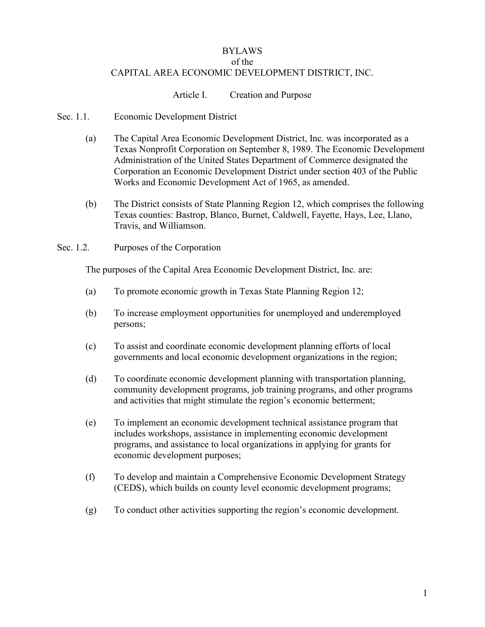## BYLAWS of the CAPITAL AREA ECONOMIC DEVELOPMENT DISTRICT, INC.

## Article I. Creation and Purpose

- Sec. 1.1. Economic Development District
	- (a) The Capital Area Economic Development District, Inc. was incorporated as a Texas Nonprofit Corporation on September 8, 1989. The Economic Development Administration of the United States Department of Commerce designated the Corporation an Economic Development District under section 403 of the Public Works and Economic Development Act of 1965, as amended.
	- (b) The District consists of State Planning Region 12, which comprises the following Texas counties: Bastrop, Blanco, Burnet, Caldwell, Fayette, Hays, Lee, Llano, Travis, and Williamson.
- Sec. 1.2. Purposes of the Corporation

The purposes of the Capital Area Economic Development District, Inc. are:

- (a) To promote economic growth in Texas State Planning Region 12;
- (b) To increase employment opportunities for unemployed and underemployed persons;
- (c) To assist and coordinate economic development planning efforts of local governments and local economic development organizations in the region;
- (d) To coordinate economic development planning with transportation planning, community development programs, job training programs, and other programs and activities that might stimulate the region's economic betterment;
- (e) To implement an economic development technical assistance program that includes workshops, assistance in implementing economic development programs, and assistance to local organizations in applying for grants for economic development purposes;
- (f) To develop and maintain a Comprehensive Economic Development Strategy (CEDS), which builds on county level economic development programs;
- (g) To conduct other activities supporting the region's economic development.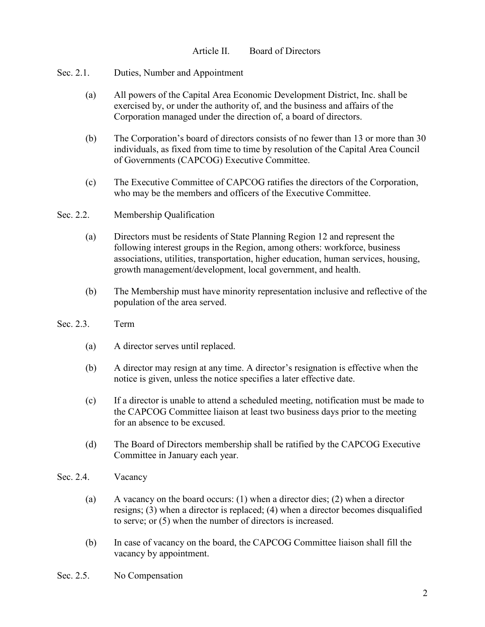- Sec. 2.1. Duties, Number and Appointment
	- (a) All powers of the Capital Area Economic Development District, Inc. shall be exercised by, or under the authority of, and the business and affairs of the Corporation managed under the direction of, a board of directors.
	- (b) The Corporation's board of directors consists of no fewer than 13 or more than 30 individuals, as fixed from time to time by resolution of the Capital Area Council of Governments (CAPCOG) Executive Committee.
	- (c) The Executive Committee of CAPCOG ratifies the directors of the Corporation, who may be the members and officers of the Executive Committee.

## Sec. 2.2. Membership Qualification

- (a) Directors must be residents of State Planning Region 12 and represent the following interest groups in the Region, among others: workforce, business associations, utilities, transportation, higher education, human services, housing, growth management/development, local government, and health.
- (b) The Membership must have minority representation inclusive and reflective of the population of the area served.
- Sec. 2.3. Term
	- (a) A director serves until replaced.
	- (b) A director may resign at any time. A director's resignation is effective when the notice is given, unless the notice specifies a later effective date.
	- (c) If a director is unable to attend a scheduled meeting, notification must be made to the CAPCOG Committee liaison at least two business days prior to the meeting for an absence to be excused.
	- (d) The Board of Directors membership shall be ratified by the CAPCOG Executive Committee in January each year.
- Sec. 2.4. Vacancy
	- (a) A vacancy on the board occurs: (1) when a director dies; (2) when a director resigns; (3) when a director is replaced; (4) when a director becomes disqualified to serve; or (5) when the number of directors is increased.
	- (b) In case of vacancy on the board, the CAPCOG Committee liaison shall fill the vacancy by appointment.
- Sec. 2.5. No Compensation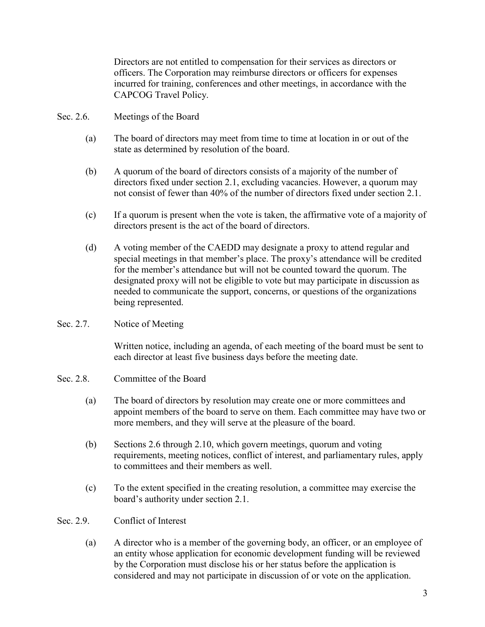Directors are not entitled to compensation for their services as directors or officers. The Corporation may reimburse directors or officers for expenses incurred for training, conferences and other meetings, in accordance with the CAPCOG Travel Policy.

- Sec. 2.6. Meetings of the Board
	- (a) The board of directors may meet from time to time at location in or out of the state as determined by resolution of the board.
	- (b) A quorum of the board of directors consists of a majority of the number of directors fixed under section 2.1, excluding vacancies. However, a quorum may not consist of fewer than 40% of the number of directors fixed under section 2.1.
	- (c) If a quorum is present when the vote is taken, the affirmative vote of a majority of directors present is the act of the board of directors.
	- (d) A voting member of the CAEDD may designate a proxy to attend regular and special meetings in that member's place. The proxy's attendance will be credited for the member's attendance but will not be counted toward the quorum. The designated proxy will not be eligible to vote but may participate in discussion as needed to communicate the support, concerns, or questions of the organizations being represented.
- Sec. 2.7. Notice of Meeting

Written notice, including an agenda, of each meeting of the board must be sent to each director at least five business days before the meeting date.

- Sec. 2.8. Committee of the Board
	- (a) The board of directors by resolution may create one or more committees and appoint members of the board to serve on them. Each committee may have two or more members, and they will serve at the pleasure of the board.
	- (b) Sections 2.6 through 2.10, which govern meetings, quorum and voting requirements, meeting notices, conflict of interest, and parliamentary rules, apply to committees and their members as well.
	- (c) To the extent specified in the creating resolution, a committee may exercise the board's authority under section 2.1.
- Sec. 2.9. Conflict of Interest
	- (a) A director who is a member of the governing body, an officer, or an employee of an entity whose application for economic development funding will be reviewed by the Corporation must disclose his or her status before the application is considered and may not participate in discussion of or vote on the application.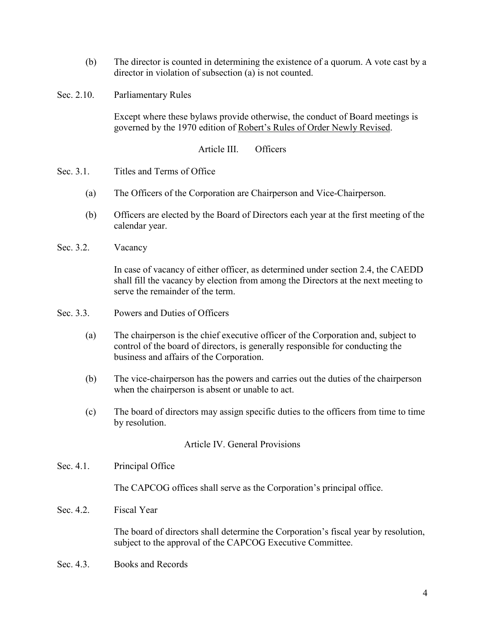- (b) The director is counted in determining the existence of a quorum. A vote cast by a director in violation of subsection (a) is not counted.
- Sec. 2.10. Parliamentary Rules

Except where these bylaws provide otherwise, the conduct of Board meetings is governed by the 1970 edition of Robert's Rules of Order Newly Revised.

Article III. Officers

- Sec. 3.1. Titles and Terms of Office
	- (a) The Officers of the Corporation are Chairperson and Vice-Chairperson.
	- (b) Officers are elected by the Board of Directors each year at the first meeting of the calendar year.
- Sec. 3.2. Vacancy

In case of vacancy of either officer, as determined under section 2.4, the CAEDD shall fill the vacancy by election from among the Directors at the next meeting to serve the remainder of the term.

- Sec. 3.3. Powers and Duties of Officers
	- (a) The chairperson is the chief executive officer of the Corporation and, subject to control of the board of directors, is generally responsible for conducting the business and affairs of the Corporation.
	- (b) The vice-chairperson has the powers and carries out the duties of the chairperson when the chairperson is absent or unable to act.
	- (c) The board of directors may assign specific duties to the officers from time to time by resolution.

Article IV. General Provisions

Sec. 4.1. Principal Office

The CAPCOG offices shall serve as the Corporation's principal office.

Sec. 4.2. Fiscal Year

The board of directors shall determine the Corporation's fiscal year by resolution, subject to the approval of the CAPCOG Executive Committee.

Sec. 4.3. Books and Records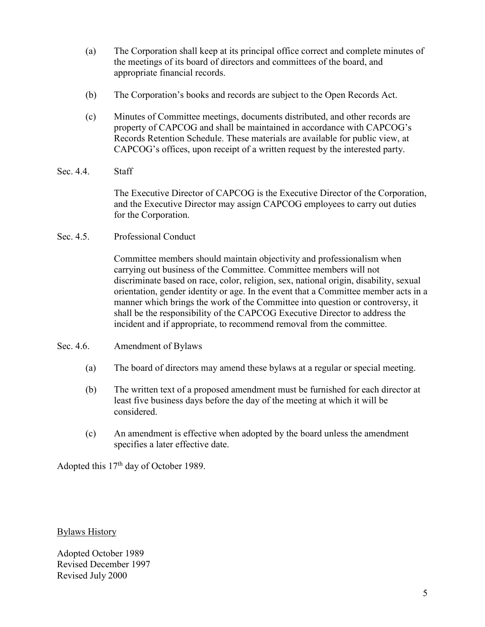- (a) The Corporation shall keep at its principal office correct and complete minutes of the meetings of its board of directors and committees of the board, and appropriate financial records.
- (b) The Corporation's books and records are subject to the Open Records Act.
- (c) Minutes of Committee meetings, documents distributed, and other records are property of CAPCOG and shall be maintained in accordance with CAPCOG's Records Retention Schedule. These materials are available for public view, at CAPCOG's offices, upon receipt of a written request by the interested party.
- Sec. 4.4. Staff

The Executive Director of CAPCOG is the Executive Director of the Corporation, and the Executive Director may assign CAPCOG employees to carry out duties for the Corporation.

Sec. 4.5. Professional Conduct

Committee members should maintain objectivity and professionalism when carrying out business of the Committee. Committee members will not discriminate based on race, color, religion, sex, national origin, disability, sexual orientation, gender identity or age. In the event that a Committee member acts in a manner which brings the work of the Committee into question or controversy, it shall be the responsibility of the CAPCOG Executive Director to address the incident and if appropriate, to recommend removal from the committee.

- Sec. 4.6. Amendment of Bylaws
	- (a) The board of directors may amend these bylaws at a regular or special meeting.
	- (b) The written text of a proposed amendment must be furnished for each director at least five business days before the day of the meeting at which it will be considered.
	- (c) An amendment is effective when adopted by the board unless the amendment specifies a later effective date.

Adopted this 17<sup>th</sup> day of October 1989.

Bylaws History

Adopted October 1989 Revised December 1997 Revised July 2000